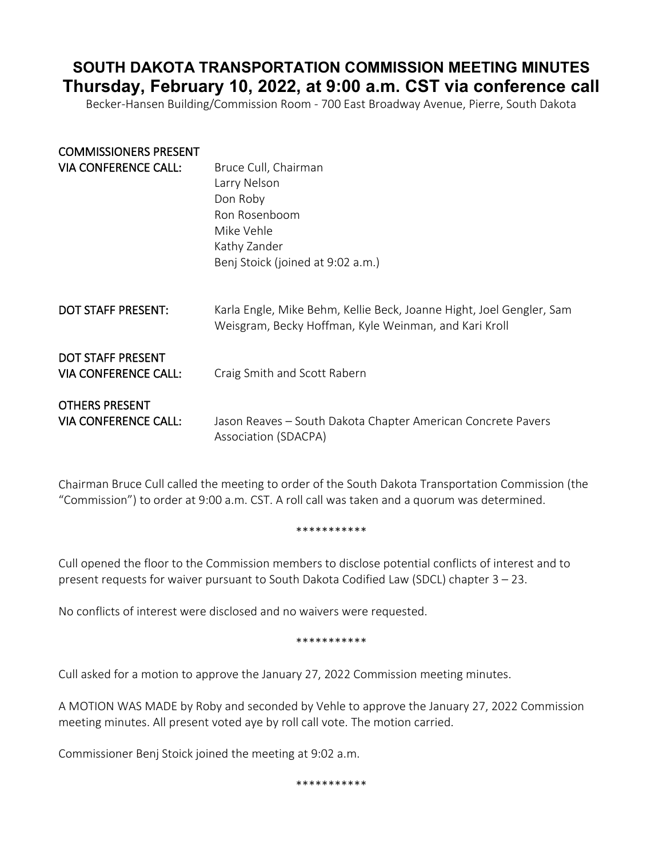# **SOUTH DAKOTA TRANSPORTATION COMMISSION MEETING MINUTES Thursday, February 10, 2022, at 9:00 a.m. CST via conference call**

Becker-Hansen Building/Commission Room - 700 East Broadway Avenue, Pierre, South Dakota

| <b>COMMISSIONERS PRESENT</b>                            |                                                                                                                               |
|---------------------------------------------------------|-------------------------------------------------------------------------------------------------------------------------------|
| <b>VIA CONFERENCE CALL:</b>                             | Bruce Cull, Chairman                                                                                                          |
|                                                         | Larry Nelson                                                                                                                  |
|                                                         | Don Roby                                                                                                                      |
|                                                         | Ron Rosenboom                                                                                                                 |
|                                                         | Mike Vehle                                                                                                                    |
|                                                         | Kathy Zander                                                                                                                  |
|                                                         | Benj Stoick (joined at 9:02 a.m.)                                                                                             |
| <b>DOT STAFF PRESENT:</b>                               | Karla Engle, Mike Behm, Kellie Beck, Joanne Hight, Joel Gengler, Sam<br>Weisgram, Becky Hoffman, Kyle Weinman, and Kari Kroll |
| <b>DOT STAFF PRESENT</b><br><b>VIA CONFERENCE CALL:</b> | Craig Smith and Scott Rabern                                                                                                  |
| <b>OTHERS PRESENT</b>                                   |                                                                                                                               |
| <b>VIA CONFERENCE CALL:</b>                             | Jason Reaves - South Dakota Chapter American Concrete Pavers<br>Association (SDACPA)                                          |

Chairman Bruce Cull called the meeting to order of the South Dakota Transportation Commission (the "Commission") to order at 9:00 a.m. CST. A roll call was taken and a quorum was determined.

#### \*\*\*\*\*\*\*\*\*\*\*

Cull opened the floor to the Commission members to disclose potential conflicts of interest and to present requests for waiver pursuant to South Dakota Codified Law (SDCL) chapter 3 – 23.

No conflicts of interest were disclosed and no waivers were requested.

\*\*\*\*\*\*\*\*\*\*\*

Cull asked for a motion to approve the January 27, 2022 Commission meeting minutes.

A MOTION WAS MADE by Roby and seconded by Vehle to approve the January 27, 2022 Commission meeting minutes. All present voted aye by roll call vote. The motion carried.

Commissioner Benj Stoick joined the meeting at 9:02 a.m.

\*\*\*\*\*\*\*\*\*\*\*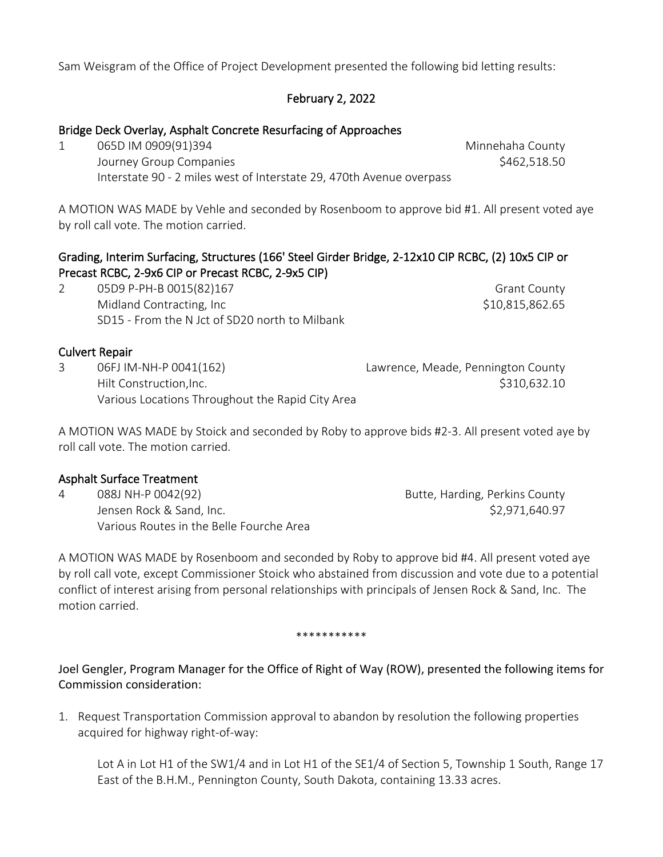Sam Weisgram of the Office of Project Development presented the following bid letting results:

# February 2, 2022

## Bridge Deck Overlay, Asphalt Concrete Resurfacing of Approaches

1 065D IM 0909(91)394 Minnehaha County Journey Group Companies \$462,518.50 Interstate 90 - 2 miles west of Interstate 29, 470th Avenue overpass

A MOTION WAS MADE by Vehle and seconded by Rosenboom to approve bid #1. All present voted aye by roll call vote. The motion carried.

# Grading, Interim Surfacing, Structures (166' Steel Girder Bridge, 2-12x10 CIP RCBC, (2) 10x5 CIP or Precast RCBC, 2-9x6 CIP or Precast RCBC, 2-9x5 CIP)

2 05D9 P-PH-B 0015(82)167 Grant County Midland Contracting, Inc  $$10,815,862.65$ SD15 - From the N Jct of SD20 north to Milbank

## Culvert Repair

3 06FJ IM-NH-P 0041(162) Lawrence, Meade, Pennington County Hilt Construction,Inc. \$310,632.10 Various Locations Throughout the Rapid City Area

A MOTION WAS MADE by Stoick and seconded by Roby to approve bids #2-3. All present voted aye by roll call vote. The motion carried.

### Asphalt Surface Treatment

4 088J NH-P 0042(92) 2012 2022 Butte, Harding, Perkins County Jensen Rock & Sand, Inc. \$2,971,640.97 Various Routes in the Belle Fourche Area

A MOTION WAS MADE by Rosenboom and seconded by Roby to approve bid #4. All present voted aye by roll call vote, except Commissioner Stoick who abstained from discussion and vote due to a potential conflict of interest arising from personal relationships with principals of Jensen Rock & Sand, Inc. The motion carried.

#### \*\*\*\*\*\*\*\*\*\*\*

Joel Gengler, Program Manager for the Office of Right of Way (ROW), presented the following items for Commission consideration:

1. Request Transportation Commission approval to abandon by resolution the following properties acquired for highway right-of-way:

Lot A in Lot H1 of the SW1/4 and in Lot H1 of the SE1/4 of Section 5, Township 1 South, Range 17 East of the B.H.M., Pennington County, South Dakota, containing 13.33 acres.